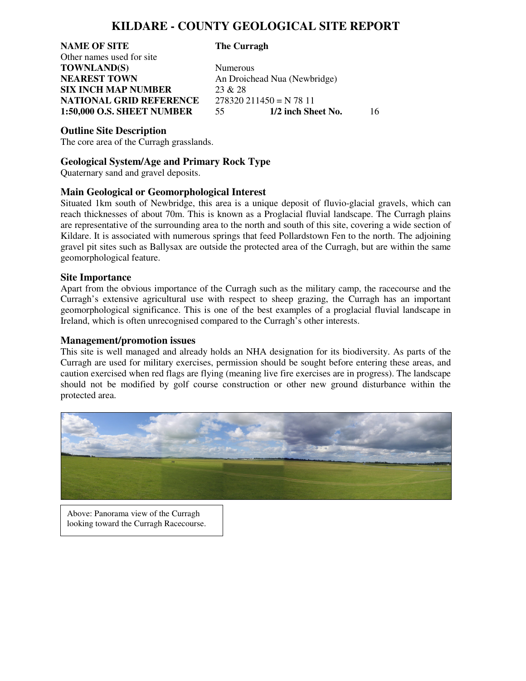## **KILDARE - COUNTY GEOLOGICAL SITE REPORT**

**NAME OF SITE The Curragh**  Other names used for site **TOWNLAND(S)** Numerous **NEAREST TOWN** An Droichead Nua (Newbridge) **SIX INCH MAP NUMBER** 23 & 28 **NATIONAL GRID REFERENCE** 278320 211450 = N 78 11

**1:50,000 O.S. SHEET NUMBER** 55 **1/2 inch Sheet No.** 16

#### **Outline Site Description**

The core area of the Curragh grasslands.

### **Geological System/Age and Primary Rock Type**

Quaternary sand and gravel deposits.

#### **Main Geological or Geomorphological Interest**

Situated 1km south of Newbridge, this area is a unique deposit of fluvio-glacial gravels, which can reach thicknesses of about 70m. This is known as a Proglacial fluvial landscape. The Curragh plains are representative of the surrounding area to the north and south of this site, covering a wide section of Kildare. It is associated with numerous springs that feed Pollardstown Fen to the north. The adjoining gravel pit sites such as Ballysax are outside the protected area of the Curragh, but are within the same geomorphological feature. Ì

#### **Site Importance**

Apart from the obvious importance of the Curragh such as the military camp, the racecourse and the Curragh's extensive agricultural use with respect to sheep grazing, the Curragh has an important geomorphological significance. This is one of the best examples of a proglacial fluvial landscape in Ireland, which is often unrecognised compared to the Curragh's other interests.

#### **Management/promotion issues**

This site is well managed and already holds an NHA designation for its biodiversity. As parts of the Curragh are used for military exercises, permission should be sought before entering these areas, and caution exercised when red flags are flying (meaning live fire exercises are in progress). The landscape should not be modified by golf course construction or other new ground disturbance within the protected area.



Above: Panorama view of the Curragh looking toward the Curragh Racecourse.